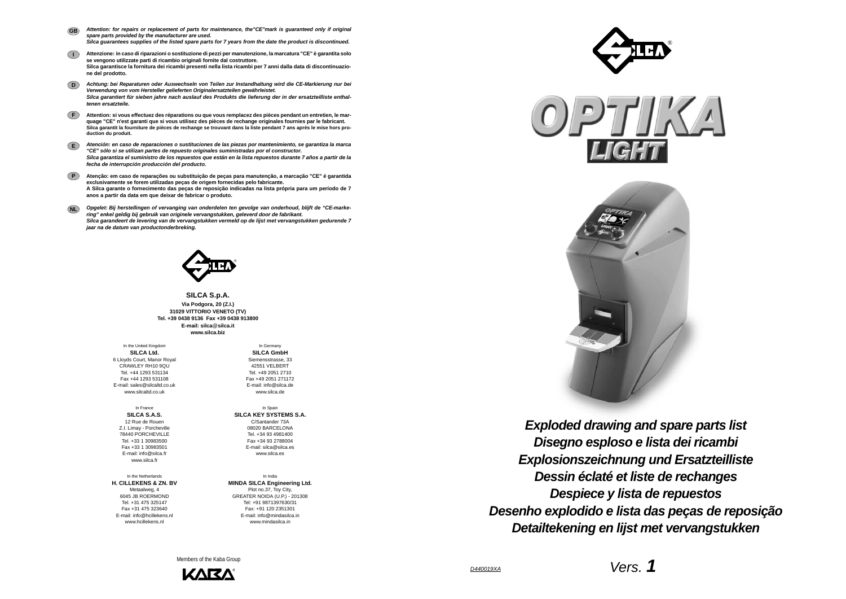*D440019XA*

**SILCA S.p.A. Via Podgora, 20 (Z.I.) 31029 VITTORIO VENETO (TV) Tel. +39 0438 9136 Fax +39 0438 913800E-mail: silca**@**silca.it www.silca.biz**

- *Attention: for repairs or replacement of parts for maintenance, the"CE"mark is guaranteed only if original spare parts provided by the manufacturer are used. Silca guarantees supplies of the listed spare parts for 7 years from the date the product is discontinued.* **GB**
- **I Attenzione: in caso di riparazioni o sostituzione di pezzi per manutenzione, la marcatura "CE" è garantita solo se vengono utilizzate parti di ricambio originali fornite dal costruttore. Silca garantisce la fornitura dei ricambi presenti nella lista ricambi per 7 anni dalla data di discontinuazione del prodotto.**
- **D***Achtung: bei Reparaturen oder Auswechseln von Teilen zur Instandhaltung wird die CE-Markierung nur bei Verwendung von vom Hersteller gelieferten Originalersatzteilen gewährleistet. Silca garantiert für sieben jahre nach auslauf des Produkts die lieferung der in der ersatzteilliste enthaltenen ersatzteile.*
- **F Attention: si vous effectuez des réparations ou que vous remplacez des pièces pendant un entretien, le marquage "CE" n'est garanti que si vous utilisez des pièces de rechange originales fournies par le fabricant. Silca garantit la fourniture de pièces de rechange se trouvant dans la liste pendant 7 ans après le mise hors production du produit.**
- **E***Atención: en caso de reparaciones o sustituciones de las piezas por mantenimiento, se garantiza la marca "CE" sólo si se utilizan partes de repuesto originales suministradas por el constructor. Silca garantiza el suministro de los repuestos que están en la lista repuestos durante 7 años a partir de la fecha de interrupción producción del producto.*
- **PAtenção: em caso de reparações ou substituição de peças para manutenção, a marcação "CE" é garantida exclusivamente se forem utilizadas peças de origem fornecidas pelo fabricante. A Silca garante o fornecimento das peças de reposição indicadas na lista própria para um período de 7 anos a partir da data em que deixar de fabricar o produto.**
- **NL** *Opgelet: Bij herstellingen of vervanging van onderdelen ten gevolge van onderhoud, blijft de "CE-markering" enkel geldig bij gebruik van originele vervangstukken, geleverd door de fabrikant. Silca garandeert de levering van de vervangstukken vermeld op de lijst met vervangstukken gedurende 7 jaar na de datum van productonderbreking.*



In the United Kingdom **SILCA Ltd.** 6 Lloyds Court, Manor Royal CRAWLEY RH10 9QUTel. +44 1293 531134 Fax +44 1293 531108 E-mail: sales@silcaltd.co.uk www.silcaltd.co.uk

In France**SILCA S.A.S.** 12 Rue de Rouen Z.I. Limay - Porcheville 78440 PORCHEVILLE Tel. +33 1 30983500 Fax +33 1 30983501 E-mail: info@silca.fr www.silca.fr

In the Netherlands**H. CILLEKENS & ZN. BV** Metaalweg, 4 6045 JB ROERMOND Tel. +31 475 325147 Fax +31 475 323640E-mail: info@hcillekens.nl

www.hcillekens.nl

In Germany **SILCA GmbH** Siemensstrasse, 33 42551 VELBERTTel. +49 2051 2710 Fax +49 2051 271172 E-mail: info@silca.de www.silca.de

In Spain **SILCA KEY SYSTEMS S.A.** C/Santander 73A 08020 BARCELONA Tel. +34 93 4981400 Fax +34 93 2788004 E-mail: silca@silca.es www.silca.es

In India**MINDA SILCA Engineering Ltd.** Plot no.37, Toy City, GREATER NOIDA (U.P.) - 201308 Tel: +91 9871397630/31 Fax: +91 120 2351301 E-mail: info@mindasilca.inwww.mindasilca.in

Members of the Kaba Group









*Disegno esploso e lista dei ricambi Exploded drawing and spare parts list Explosionszeichnung und Ersatzteilliste Dessin éclaté et liste de rechanges Despiece y lista de repuestos Desenho explodido e lista das peças de reposição Detailtekening en lijst met vervangstukken*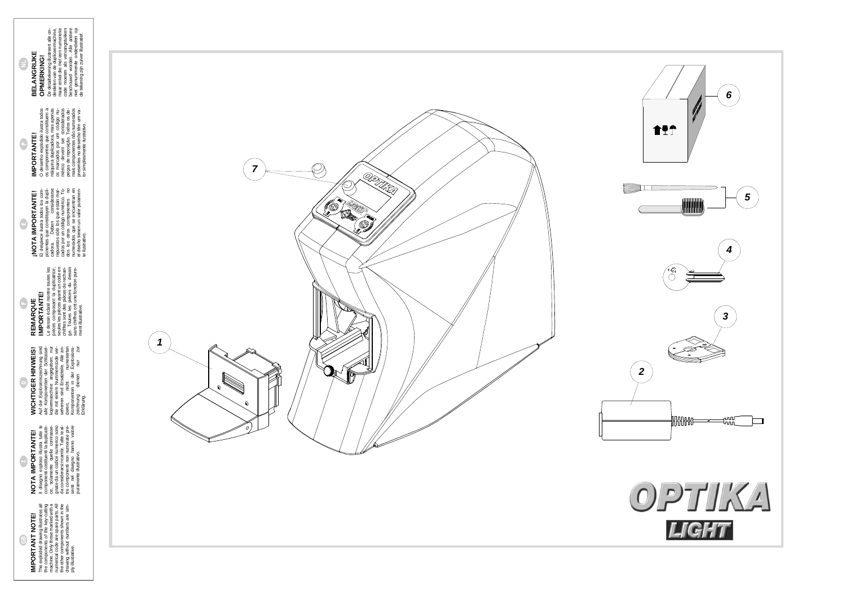